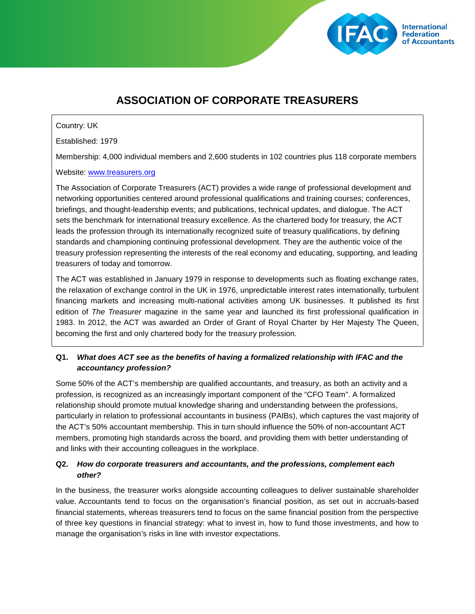

# **ASSOCIATION OF CORPORATE TREASURERS**

#### Country: UK

Established: 1979

Membership: 4,000 individual members and 2,600 students in 102 countries plus 118 corporate members

#### Website: [www.treasurers.org](http://www.treasurers.org/)

The Association of Corporate Treasurers (ACT) provides a wide range of professional development and networking opportunities centered around professional qualifications and training courses; conferences, briefings, and thought-leadership events; and publications, technical updates, and dialogue. The ACT sets the benchmark for international treasury excellence. As the chartered body for treasury, the ACT leads the profession through its internationally recognized suite of treasury qualifications, by defining standards and championing continuing professional development. They are the authentic voice of the treasury profession representing the interests of the real economy and educating, supporting, and leading treasurers of today and tomorrow.

The ACT was established in January 1979 in response to developments such as floating exchange rates, the relaxation of exchange control in the UK in 1976, unpredictable interest rates internationally, turbulent financing markets and increasing multi-national activities among UK businesses. It published its first edition of *The Treasurer* magazine in the same year and launched its first professional qualification in 1983. In 2012, the ACT was awarded an Order of Grant of Royal Charter by Her Majesty The Queen, becoming the first and only chartered body for the treasury profession.

# **Q1.** *What does ACT see as the benefits of having a formalized relationship with IFAC and the accountancy profession?*

Some 50% of the ACT's membership are qualified accountants, and treasury, as both an activity and a profession, is recognized as an increasingly important component of the "CFO Team". A formalized relationship should promote mutual knowledge sharing and understanding between the professions, particularly in relation to professional accountants in business (PAIBs), which captures the vast majority of the ACT's 50% accountant membership. This in turn should influence the 50% of non-accountant ACT members, promoting high standards across the board, and providing them with better understanding of and links with their accounting colleagues in the workplace.

# **Q2.** *How do corporate treasurers and accountants, and the professions, complement each other?*

In the business, the treasurer works alongside accounting colleagues to deliver sustainable shareholder value. Accountants tend to focus on the organisation's financial position, as set out in accruals-based financial statements, whereas treasurers tend to focus on the same financial position from the perspective of three key questions in financial strategy: what to invest in, how to fund those investments, and how to manage the organisation's risks in line with investor expectations.